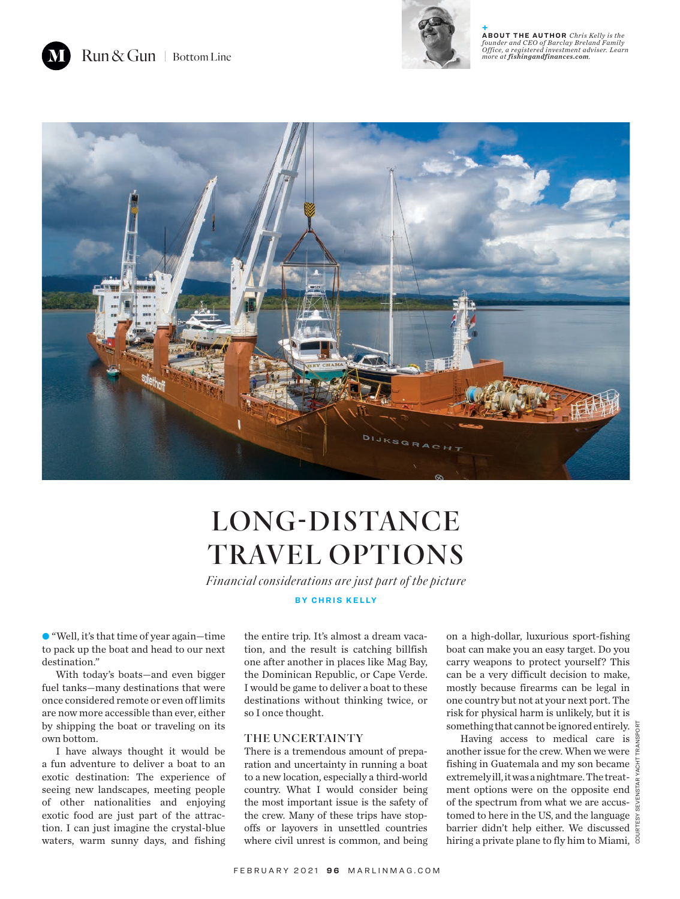

**+ ABOUT THE AUTHOR** *Chris Kelly is the founder and CEO of Barclay Breland Family Office, a registered investment adviser. Learn more at fishingandfinances.com.*



## LONG-DISTANCE TRAVEL OPTIONS

*Financial considerations are just part of the picture*

**BY CHRIS KELLY**

• "Well, it's that time of year again—time to pack up the boat and head to our next destination."

With today's boats—and even bigger fuel tanks—many destinations that were once considered remote or even off limits are now more accessible than ever, either by shipping the boat or traveling on its own bottom.

I have always thought it would be a fun adventure to deliver a boat to an exotic destination: The experience of seeing new landscapes, meeting people of other nationalities and enjoying exotic food are just part of the attraction. I can just imagine the crystal-blue waters, warm sunny days, and fishing

the entire trip. It's almost a dream vacation, and the result is catching billfish one after another in places like Mag Bay, the Dominican Republic, or Cape Verde. I would be game to deliver a boat to these destinations without thinking twice, or so I once thought.

## THE UNCERTAINTY

There is a tremendous amount of preparation and uncertainty in running a boat to a new location, especially a third-world country. What I would consider being the most important issue is the safety of the crew. Many of these trips have stopoffs or layovers in unsettled countries where civil unrest is common, and being

on a high-dollar, luxurious sport-fishing boat can make you an easy target. Do you carry weapons to protect yourself? This can be a very difficult decision to make, mostly because firearms can be legal in one country but not at your next port. The risk for physical harm is unlikely, but it is something that cannot be ignored entirely.  $\frac{1}{6}$ 

Having access to medical care is  $\frac{5}{9}$ another issue for the crew. When we were  $\frac{8}{5}$ fishing in Guatemala and my son became  $\frac{5}{9}$ extremely ill, it was a nightmare. The treatment options were on the opposite end of the spectrum from what we are accustomed to here in the US, and the language  $\frac{8}{6}$ barrier didn't help either. We discussed hiring a private plane to fly him to Miami,  $\frac{8}{9}$